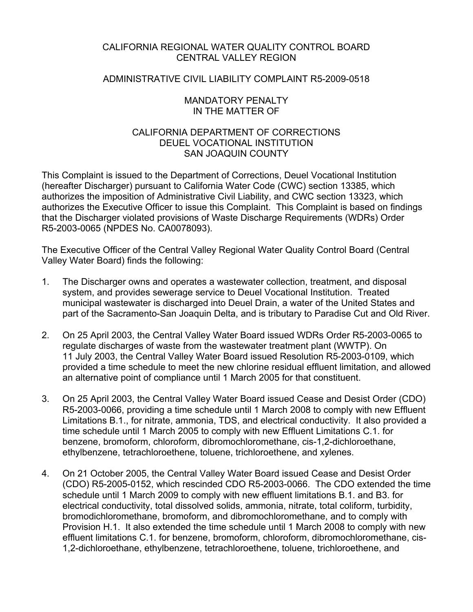## CALIFORNIA REGIONAL WATER QUALITY CONTROL BOARD CENTRAL VALLEY REGION

### ADMINISTRATIVE CIVIL LIABILITY COMPLAINT R5-2009-0518

### MANDATORY PENALTY IN THE MATTER OF

## CALIFORNIA DEPARTMENT OF CORRECTIONS DEUEL VOCATIONAL INSTITUTION SAN JOAQUIN COUNTY

This Complaint is issued to the Department of Corrections, Deuel Vocational Institution (hereafter Discharger) pursuant to California Water Code (CWC) section 13385, which authorizes the imposition of Administrative Civil Liability, and CWC section 13323, which authorizes the Executive Officer to issue this Complaint. This Complaint is based on findings that the Discharger violated provisions of Waste Discharge Requirements (WDRs) Order R5-2003-0065 (NPDES No. CA0078093).

The Executive Officer of the Central Valley Regional Water Quality Control Board (Central Valley Water Board) finds the following:

- 1. The Discharger owns and operates a wastewater collection, treatment, and disposal system, and provides sewerage service to Deuel Vocational Institution. Treated municipal wastewater is discharged into Deuel Drain, a water of the United States and part of the Sacramento-San Joaquin Delta, and is tributary to Paradise Cut and Old River.
- 2. On 25 April 2003, the Central Valley Water Board issued WDRs Order R5-2003-0065 to regulate discharges of waste from the wastewater treatment plant (WWTP). On 11 July 2003, the Central Valley Water Board issued Resolution R5-2003-0109, which provided a time schedule to meet the new chlorine residual effluent limitation, and allowed an alternative point of compliance until 1 March 2005 for that constituent.
- 3. On 25 April 2003, the Central Valley Water Board issued Cease and Desist Order (CDO) R5-2003-0066, providing a time schedule until 1 March 2008 to comply with new Effluent Limitations B.1., for nitrate, ammonia, TDS, and electrical conductivity. It also provided a time schedule until 1 March 2005 to comply with new Effluent Limitations C.1. for benzene, bromoform, chloroform, dibromochloromethane, cis-1,2-dichloroethane, ethylbenzene, tetrachloroethene, toluene, trichloroethene, and xylenes.
- 4. On 21 October 2005, the Central Valley Water Board issued Cease and Desist Order (CDO) R5-2005-0152, which rescinded CDO R5-2003-0066. The CDO extended the time schedule until 1 March 2009 to comply with new effluent limitations B.1. and B3. for electrical conductivity, total dissolved solids, ammonia, nitrate, total coliform, turbidity, bromodichloromethane, bromoform, and dibromochloromethane, and to comply with Provision H.1. It also extended the time schedule until 1 March 2008 to comply with new effluent limitations C.1. for benzene, bromoform, chloroform, dibromochloromethane, cis-1,2-dichloroethane, ethylbenzene, tetrachloroethene, toluene, trichloroethene, and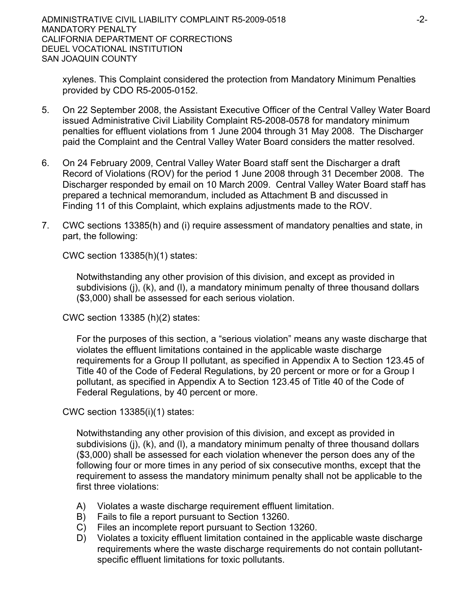xylenes. This Complaint considered the protection from Mandatory Minimum Penalties provided by CDO R5-2005-0152.

- 5. On 22 September 2008, the Assistant Executive Officer of the Central Valley Water Board issued Administrative Civil Liability Complaint R5-2008-0578 for mandatory minimum penalties for effluent violations from 1 June 2004 through 31 May 2008. The Discharger paid the Complaint and the Central Valley Water Board considers the matter resolved.
- 6. On 24 February 2009, Central Valley Water Board staff sent the Discharger a draft Record of Violations (ROV) for the period 1 June 2008 through 31 December 2008. The Discharger responded by email on 10 March 2009. Central Valley Water Board staff has prepared a technical memorandum, included as Attachment B and discussed in Finding 11 of this Complaint, which explains adjustments made to the ROV.
- 7. CWC sections 13385(h) and (i) require assessment of mandatory penalties and state, in part, the following:

CWC section 13385(h)(1) states:

Notwithstanding any other provision of this division, and except as provided in subdivisions (j), (k), and (l), a mandatory minimum penalty of three thousand dollars (\$3,000) shall be assessed for each serious violation.

CWC section 13385 (h)(2) states:

For the purposes of this section, a "serious violation" means any waste discharge that violates the effluent limitations contained in the applicable waste discharge requirements for a Group II pollutant, as specified in Appendix A to Section 123.45 of Title 40 of the Code of Federal Regulations, by 20 percent or more or for a Group I pollutant, as specified in Appendix A to Section 123.45 of Title 40 of the Code of Federal Regulations, by 40 percent or more.

CWC section 13385(i)(1) states:

Notwithstanding any other provision of this division, and except as provided in subdivisions (j), (k), and (l), a mandatory minimum penalty of three thousand dollars (\$3,000) shall be assessed for each violation whenever the person does any of the following four or more times in any period of six consecutive months, except that the requirement to assess the mandatory minimum penalty shall not be applicable to the first three violations:

- A) Violates a waste discharge requirement effluent limitation.
- B) Fails to file a report pursuant to Section 13260.
- C) Files an incomplete report pursuant to Section 13260.
- D) Violates a toxicity effluent limitation contained in the applicable waste discharge requirements where the waste discharge requirements do not contain pollutantspecific effluent limitations for toxic pollutants.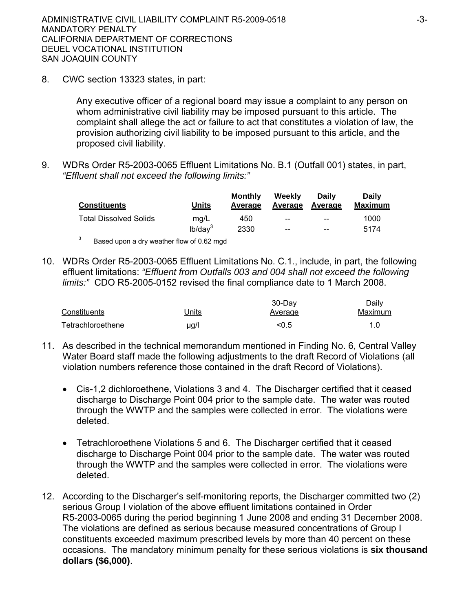8. CWC section 13323 states, in part:

Any executive officer of a regional board may issue a complaint to any person on whom administrative civil liability may be imposed pursuant to this article. The complaint shall allege the act or failure to act that constitutes a violation of law, the provision authorizing civil liability to be imposed pursuant to this article, and the proposed civil liability.

9. WDRs Order R5-2003-0065 Effluent Limitations No. B.1 (Outfall 001) states, in part, *"Effluent shall not exceed the following limits:"*

| <b>Constituents</b>           | Units         | Monthly<br>Average | Weekly<br>Average      | Daily<br>Average | <b>Daily</b><br><b>Maximum</b> |
|-------------------------------|---------------|--------------------|------------------------|------------------|--------------------------------|
| <b>Total Dissolved Solids</b> | mq/L          | 450                | $\qquad \qquad \cdots$ | $-$              | 1000                           |
|                               | $lb$ /dav $3$ | 2330               | $- -$                  | $-$              | 5174                           |
| $\sim$                        |               |                    |                        |                  |                                |

3 Based upon a dry weather flow of 0.62 mgd

10. WDRs Order R5-2003-0065 Effluent Limitations No. C.1., include, in part, the following effluent limitations: *"Effluent from Outfalls 003 and 004 shall not exceed the following limits:"* CDO R5-2005-0152 revised the final compliance date to 1 March 2008.

|                   |       | $30$ -Day      | Daily   |
|-------------------|-------|----------------|---------|
| Constituents      | Jnits | <b>Average</b> | Maximum |
| Tetrachloroethene | µg/l  | < 0.5          | 1.0     |

- 11. As described in the technical memorandum mentioned in Finding No. 6, Central Valley Water Board staff made the following adjustments to the draft Record of Violations (all violation numbers reference those contained in the draft Record of Violations).
	- Cis-1,2 dichloroethene, Violations 3 and 4. The Discharger certified that it ceased discharge to Discharge Point 004 prior to the sample date. The water was routed through the WWTP and the samples were collected in error. The violations were deleted.
	- Tetrachloroethene Violations 5 and 6. The Discharger certified that it ceased discharge to Discharge Point 004 prior to the sample date. The water was routed through the WWTP and the samples were collected in error. The violations were deleted.
- 12. According to the Discharger's self-monitoring reports, the Discharger committed two (2) serious Group I violation of the above effluent limitations contained in Order R5-2003-0065 during the period beginning 1 June 2008 and ending 31 December 2008. The violations are defined as serious because measured concentrations of Group I constituents exceeded maximum prescribed levels by more than 40 percent on these occasions. The mandatory minimum penalty for these serious violations is **six thousand dollars (\$6,000)**.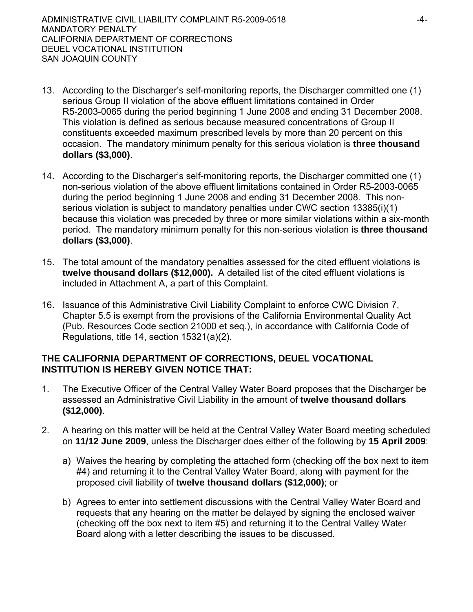- 13. According to the Discharger's self-monitoring reports, the Discharger committed one (1) serious Group II violation of the above effluent limitations contained in Order R5-2003-0065 during the period beginning 1 June 2008 and ending 31 December 2008. This violation is defined as serious because measured concentrations of Group II constituents exceeded maximum prescribed levels by more than 20 percent on this occasion. The mandatory minimum penalty for this serious violation is **three thousand dollars (\$3,000)**.
- 14. According to the Discharger's self-monitoring reports, the Discharger committed one (1) non-serious violation of the above effluent limitations contained in Order R5-2003-0065 during the period beginning 1 June 2008 and ending 31 December 2008. This nonserious violation is subject to mandatory penalties under CWC section 13385(i)(1) because this violation was preceded by three or more similar violations within a six-month period. The mandatory minimum penalty for this non-serious violation is **three thousand dollars (\$3,000)**.
- 15. The total amount of the mandatory penalties assessed for the cited effluent violations is **twelve thousand dollars (\$12,000).** A detailed list of the cited effluent violations is included in Attachment A, a part of this Complaint.
- 16. Issuance of this Administrative Civil Liability Complaint to enforce CWC Division 7, Chapter 5.5 is exempt from the provisions of the California Environmental Quality Act (Pub. Resources Code section 21000 et seq.), in accordance with California Code of Regulations, title 14, section 15321(a)(2).

# **THE CALIFORNIA DEPARTMENT OF CORRECTIONS, DEUEL VOCATIONAL INSTITUTION IS HEREBY GIVEN NOTICE THAT:**

- 1. The Executive Officer of the Central Valley Water Board proposes that the Discharger be assessed an Administrative Civil Liability in the amount of **twelve thousand dollars (\$12,000)**.
- 2. A hearing on this matter will be held at the Central Valley Water Board meeting scheduled on **11/12 June 2009**, unless the Discharger does either of the following by **15 April 2009**:
	- a) Waives the hearing by completing the attached form (checking off the box next to item #4) and returning it to the Central Valley Water Board, along with payment for the proposed civil liability of **twelve thousand dollars (\$12,000)**; or
	- b) Agrees to enter into settlement discussions with the Central Valley Water Board and requests that any hearing on the matter be delayed by signing the enclosed waiver (checking off the box next to item #5) and returning it to the Central Valley Water Board along with a letter describing the issues to be discussed.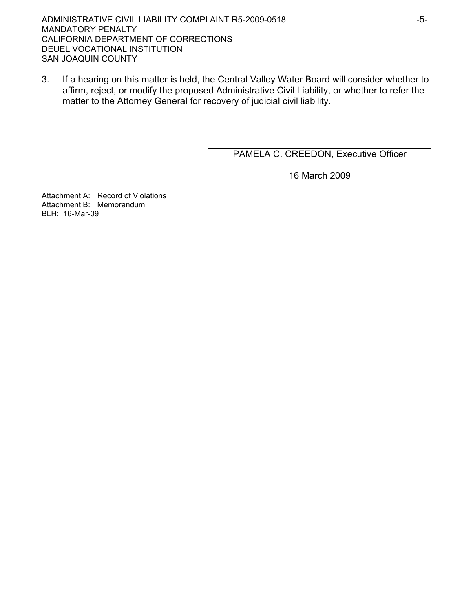3. If a hearing on this matter is held, the Central Valley Water Board will consider whether to affirm, reject, or modify the proposed Administrative Civil Liability, or whether to refer the matter to the Attorney General for recovery of judicial civil liability.

PAMELA C. CREEDON, Executive Officer

16 March 2009

Attachment A: Record of Violations Attachment B: Memorandum BLH: 16-Mar-09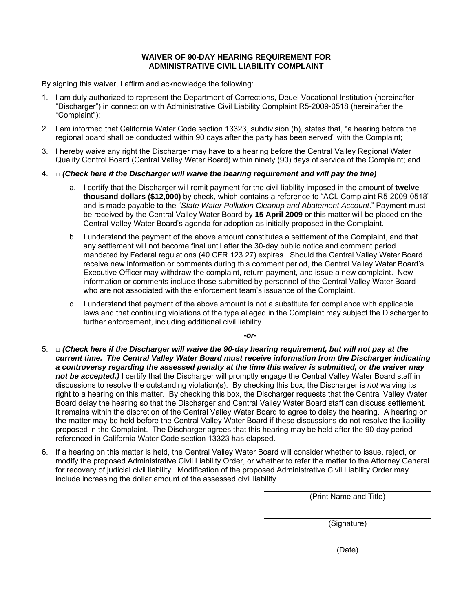#### **WAIVER OF 90-DAY HEARING REQUIREMENT FOR ADMINISTRATIVE CIVIL LIABILITY COMPLAINT**

By signing this waiver, I affirm and acknowledge the following:

- 1. I am duly authorized to represent the Department of Corrections, Deuel Vocational Institution (hereinafter "Discharger") in connection with Administrative Civil Liability Complaint R5-2009-0518 (hereinafter the "Complaint");
- 2. I am informed that California Water Code section 13323, subdivision (b), states that, "a hearing before the regional board shall be conducted within 90 days after the party has been served" with the Complaint;
- 3. I hereby waive any right the Discharger may have to a hearing before the Central Valley Regional Water Quality Control Board (Central Valley Water Board) within ninety (90) days of service of the Complaint; and
- 4. □ *(Check here if the Discharger will waive the hearing requirement and will pay the fine)* 
	- a. I certify that the Discharger will remit payment for the civil liability imposed in the amount of **twelve thousand dollars (\$12,000)** by check, which contains a reference to "ACL Complaint R5-2009-0518" and is made payable to the "*State Water Pollution Cleanup and Abatement Account*." Payment must be received by the Central Valley Water Board by **15 April 2009** or this matter will be placed on the Central Valley Water Board's agenda for adoption as initially proposed in the Complaint.
	- b. I understand the payment of the above amount constitutes a settlement of the Complaint, and that any settlement will not become final until after the 30-day public notice and comment period mandated by Federal regulations (40 CFR 123.27) expires. Should the Central Valley Water Board receive new information or comments during this comment period, the Central Valley Water Board's Executive Officer may withdraw the complaint, return payment, and issue a new complaint. New information or comments include those submitted by personnel of the Central Valley Water Board who are not associated with the enforcement team's issuance of the Complaint.
	- c. I understand that payment of the above amount is not a substitute for compliance with applicable laws and that continuing violations of the type alleged in the Complaint may subject the Discharger to further enforcement, including additional civil liability.

*-or-*

- 5. □ *(Check here if the Discharger will waive the 90-day hearing requirement, but will not pay at the current time. The Central Valley Water Board must receive information from the Discharger indicating a controversy regarding the assessed penalty at the time this waiver is submitted, or the waiver may*  not be accepted.) I certify that the Discharger will promptly engage the Central Valley Water Board staff in discussions to resolve the outstanding violation(s). By checking this box, the Discharger is *not* waiving its right to a hearing on this matter. By checking this box, the Discharger requests that the Central Valley Water Board delay the hearing so that the Discharger and Central Valley Water Board staff can discuss settlement. It remains within the discretion of the Central Valley Water Board to agree to delay the hearing. A hearing on the matter may be held before the Central Valley Water Board if these discussions do not resolve the liability proposed in the Complaint. The Discharger agrees that this hearing may be held after the 90-day period referenced in California Water Code section 13323 has elapsed.
- 6. If a hearing on this matter is held, the Central Valley Water Board will consider whether to issue, reject, or modify the proposed Administrative Civil Liability Order, or whether to refer the matter to the Attorney General for recovery of judicial civil liability. Modification of the proposed Administrative Civil Liability Order may include increasing the dollar amount of the assessed civil liability.

(Print Name and Title)

(Signature)

(Date)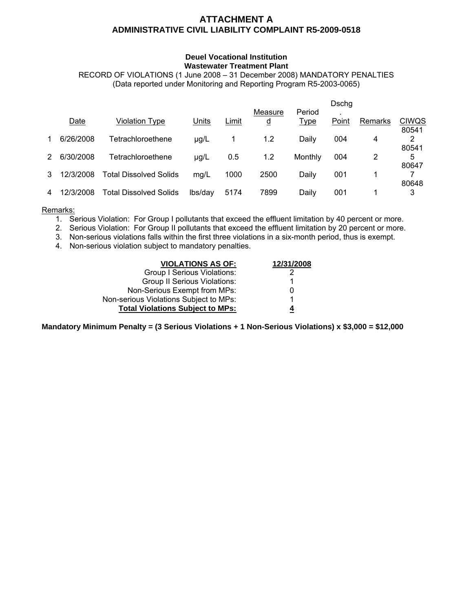## **ATTACHMENT A ADMINISTRATIVE CIVIL LIABILITY COMPLAINT R5-2009-0518**

#### **Deuel Vocational Institution Wastewater Treatment Plant**

RECORD OF VIOLATIONS (1 June 2008 – 31 December 2008) MANDATORY PENALTIES (Data reported under Monitoring and Reporting Program R5-2003-0065)

|               |           |                               |           |       |                     |                       | Dschg |         |                       |
|---------------|-----------|-------------------------------|-----------|-------|---------------------|-----------------------|-------|---------|-----------------------|
|               | Date      | Violation Type                | Units     | Limit | Measure<br><u>d</u> | Period<br><u>Type</u> | Point | Remarks | <b>CIWQS</b><br>80541 |
| 1             | 6/26/2008 | Tetrachloroethene             | $\mu$ g/L |       | 1.2                 | Daily                 | 004   | 4       | 2<br>80541            |
| $\mathcal{P}$ | 6/30/2008 | Tetrachloroethene             | µg/L      | 0.5   | 1.2                 | Monthly               | 004   | 2       | 5<br>80647            |
| 3             | 12/3/2008 | Total Dissolved Solids        | mg/L      | 1000  | 2500                | Daily                 | 001   |         | 80648                 |
| 4             | 12/3/2008 | <b>Total Dissolved Solids</b> | lbs/dav   | 5174  | 7899                | Daily                 | 001   |         | 3                     |

#### Remarks:

- 1. Serious Violation: For Group I pollutants that exceed the effluent limitation by 40 percent or more.
- 2. Serious Violation: For Group II pollutants that exceed the effluent limitation by 20 percent or more.
- 3. Non-serious violations falls within the first three violations in a six-month period, thus is exempt.
- 4. Non-serious violation subject to mandatory penalties.

| <b>VIOLATIONS AS OF:</b>                | 12/31/2008 |  |  |
|-----------------------------------------|------------|--|--|
| <b>Group I Serious Violations:</b>      | 2          |  |  |
| <b>Group II Serious Violations:</b>     |            |  |  |
| Non-Serious Exempt from MPs:            | 0          |  |  |
| Non-serious Violations Subject to MPs:  |            |  |  |
| <b>Total Violations Subject to MPs:</b> | 4          |  |  |

**Mandatory Minimum Penalty = (3 Serious Violations + 1 Non-Serious Violations) x \$3,000 = \$12,000**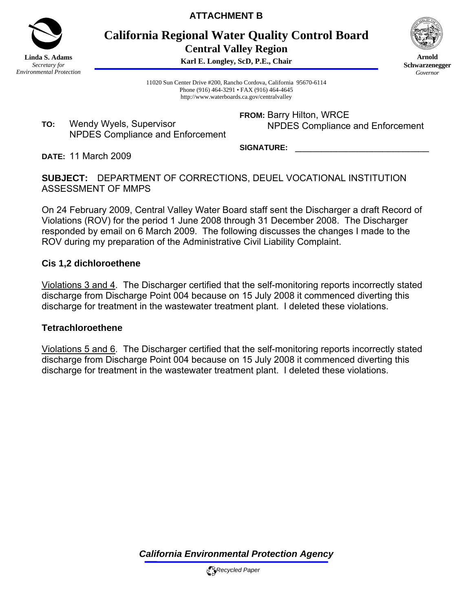

**ATTACHMENT B** 

**California Regional Water Quality Control Board Central Valley Region** 

**Karl E. Longley, ScD, P.E., Chair**



**Arnold Schwarzenegger** *Governor* 

11020 Sun Center Drive #200, Rancho Cordova, California 95670-6114 Phone (916) 464-3291 • FAX (916) 464-4645 http://www.waterboards.ca.gov/centralvalley

**TO:** Wendy Wyels, Supervisor NPDES Compliance and Enforcement **FROM:** Barry Hilton, WRCE NPDES Compliance and Enforcement

SIGNATURE:

**DATE:** 11 March 2009

**SUBJECT:** DEPARTMENT OF CORRECTIONS, DEUEL VOCATIONAL INSTITUTION ASSESSMENT OF MMPS

On 24 February 2009, Central Valley Water Board staff sent the Discharger a draft Record of Violations (ROV) for the period 1 June 2008 through 31 December 2008. The Discharger responded by email on 6 March 2009. The following discusses the changes I made to the ROV during my preparation of the Administrative Civil Liability Complaint.

## **Cis 1,2 dichloroethene**

Violations 3 and 4. The Discharger certified that the self-monitoring reports incorrectly stated discharge from Discharge Point 004 because on 15 July 2008 it commenced diverting this discharge for treatment in the wastewater treatment plant. I deleted these violations.

## **Tetrachloroethene**

Violations 5 and 6. The Discharger certified that the self-monitoring reports incorrectly stated discharge from Discharge Point 004 because on 15 July 2008 it commenced diverting this discharge for treatment in the wastewater treatment plant. I deleted these violations.

*California Environmental Protection Agency*